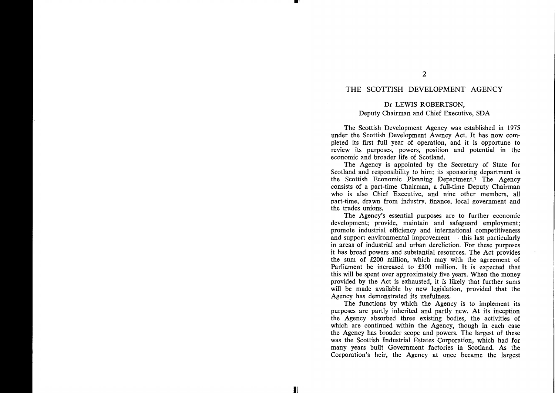# THE SCOTTISH DEVELOPMENT AGENCY

# Dr LEWIS ROBERTSON,

## Deputy Chairman and Chief Executive, SDA

The Scottish Development Agency was established in 1975 under the Scottish Development Avency Act. It has now completed its first full year of operation, and it is opportune to review its purposes, powers, position and potential in the economic and broader life of Scotland.

The Agency is appointed by the Secretary of State for Scotland and responsibility to him; its sponsoring department is the Scottish Economic Planning Department.! The Agency consists of a part-time Chairman, a full-time Deputy Chairman who is also Chief Executive, and nine other members, all part-time, drawn from industry, finance, local government and the trades unions.

The Agency's essential purposes are to further economic development; provide, maintain and safeguard employment; promote industrial efficiency and international competitiveness and support environmental improvement  $-$  this last particularly in areas of industrial and urban dereliction. For these purposes it has broad powers and substantial resources. The Act provides the sum of £200 million, which may with the agreement of Parliament be increased to £300 million. It is expected that this will be spent over approximately five years. When the money provided by the Act is exhausted, it is likely that further sums will be made available by new legislation, provided that the Agency has demonstrated its usefulness.

The functions by which the Agency is to implement its purposes are partly inherited and partly new. At its inception the Agency absorbed three existing bodies, the activities of which are continued within the Agency, though in each case the Agency has broader scope and powers. The largest of these was the Scottish Industrial Estates Corporation, which had for many years built Government factories in Scotland. As the Corporation's heir, the Agency at once became the largest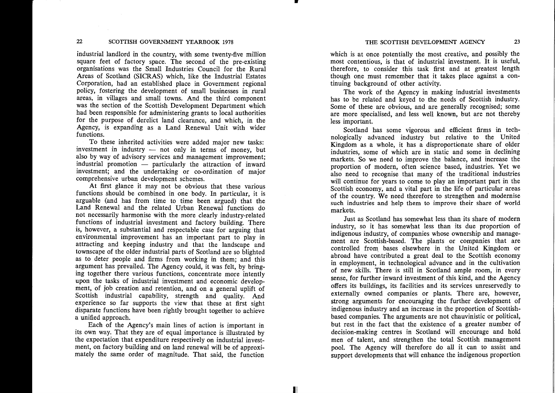industrial landlord in the country, with some twenty-five million square feet of factory space. The second of the pre-existing organisations was the Small Industries Council for the Rural Areas of Scotland (SICRAS) which, like the Industrial Estates Corporation, had an established place in Government regional policy, fostering the development of small businesses in rural areas, in villages and small towns. And the third component was the section of the Scottish Development Department which had been responsible for administering grants to local authorities for the purpose of derelict land clearance, and which, in the Agency, is expanding as a Land Renewal Unit with wider functions.

To these inherited activities were added major new tasks:  $investment$  in industry  $-$  not only in terms of money, but also by way of advisory services and management improvement; industrial promotion  $-$  particularly the attraction of inward investment; and the undertaking or co-ordination of major comprehensive urban development schemes.

At first glance it may not be obvious that these various functions should be combined in one body. In particular, it is arguable (and has from time to time been argued) that the Land Renewal and the related Urban Renewal functions do not necessarily harmonise with the more clearly industry-related functions of industrial investment and factory building. There is, however, a substantial and respectable case for arguing that environmental improvement has an important part to play in attracting and keeping industry and that the landscape and townscape of the older industrial parts of Scotland are so blighted as to deter people and firms from working in them; and this argument has prevailed. The Agency could, it was felt, by bringing together there various functions, concentrate more intently upon the tasks of industrial investment and economic development, of job creation and retention, and on a general uplift of Scottish industrial capability, strength and quality. And experience so far supports the view that these at first sight disparate functions have been rightly brought together to achieve a unified approach.

Each of the Agency's main lines of action is important in its own way. That they are of equal importance is illustrated by the expectation that expenditure respectively on industrial investment, on factory building and on land renewal will be of approximately the same order of magnitude. That said, the function which is at once potentially the most creative, and possibly the most contentious, is that of industrial investment. It is useful, therefore, to consider this task first and at greatest length though one must remember that it takes place against a continuing background of other activity.

The work of the Agency in making industrial investments has to be related and keyed to the needs of Scottish industry. Some of these are obvious, and are generally recognised; some are more specialised, and less well known, but are not thereby less important.

Scotland has some vigorous and efficient firms in technologically advanced industry but relative to the United Kingdom as a whole, it has a disproportionate share of older industries, some of which are in static and some in declining markets. So we need to improve the balance, and increase the proportion of modern, often science based, industries. Yet we also need to recognise that many of the traditional industries will continue for years to come to play an important part in the Scottish economy, and a vital part in the life of particular areas of the country. We need therefore to strengthen and modernise such industries and help them to improve their share of world markets.

Just as Scotland has somewhat less than its share of modern industry, so it has somewhat less than its due proportion of indigenous industry, of companies whose ownership and management are Scottish-based. The plants or companies that are controlled from bases elsewhere in the United Kingdom or abroad have contributed a great deal to the Scottish economy in employment, in technological advance and in the cultivation of new skills. There is still in Scotland ample room, in every sense, for further inward investment of this kind, and the Agency offers its buildings, its facilities and its services unreservedly to externally owned companies or plants. There are, however, strong arguments for encouraging the further development of indigenous industry and an increase in the proportion of Scottishbased companies. The arguments are not chauvinistic or political, but rest in the fact that the existence of a greater number of decision-making centres in Scotland will encourage and hold men of talent, and strengthen the total Scottish management pool. The Agency will therefore do all it can to assist and support developments that will enhance the indigenous proportion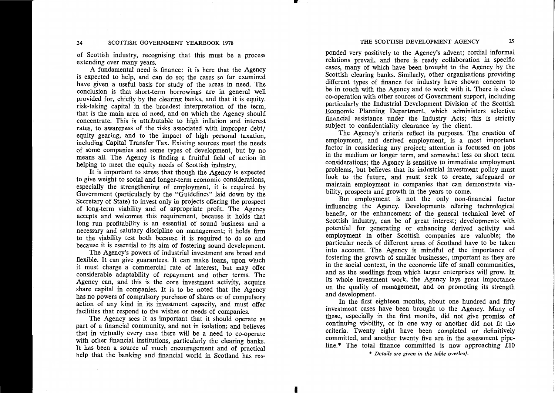of Scottish industry, recognising that this must be a process extending over many years.

A fundamental need is finance: it is here that the Agency is expected to help, and can do so; the cases so far examined have given a useful basis for study of the areas in need. The conclusion is that short-term borrowings are in general well provided for, chiefly by the clearing banks, and that it is equity, risk-taking capital in the broadest interpretation of the term, that is the main area of need, and on which the Agency should concentrate. This is attributable to high inflation and interest rates, to awareness of the risks associated with improper debt/ equity gearing, and to the impact of high personal taxation, including Capital Transfer Tax. Existing sources meet the needs of some companies and some types of development, but by no means all. The Agency is finding a fruitful field of action in helping to meet the equity needs of Scottish industry.

It is important to stress that though the Agency is expected to give weight to social and longer-term economic considerations, especially the strengthening of employment, it is required by Government (particularly by the "Guidelines" laid down by the Secretary of State) to invest only in projects offering the prospect of long-term viability and of appropriate profit. The Agency accepts and welcomes this requirement, because it holds that long run profitability is an essential of sound business and a necessary and salutary discipline on management; it holds firm to the viability test both because it is required to do so and because it is essential to its aim of fostering sound development.

The Agency's powers of industrial investment are broad and flexible. It can give guarantees. It can make loans, upon which it must charge a commercial rate of interest, but may offer considerable adaptability of repayment and other terms. The Agency can, and this is the core investment activity, acquire share capital in companies. It is to be noted that the Agency has no powers of compulsory purchase of shares or of compulsory action of any kind in its investment capacity, and must offer facilities that respond to the wishes or needs of companies.

The Agency sees it as important that it should operate as part of a financial community, and not in isolation; and believes that in virtually every case there will be a need to co-operate with other financial institutions, particularly the clearing banks. It has been a source of much encouragement and of practical help that the banking and financial world in Scotland has resTHE SCOTTISH DEVELOPMENT AGENCY<br>
ponded very positively to the Agency's advent; cordial informal<br>
relations prevail, and there is ready collaboration in specific<br>
cases, many of which have been brought to the Agency by the

bility, prospects and growth in the years to come.<br>
But employment is not the only non-financial factor<br>
influencing the Agency. Developments offering technological<br>
benefit, or the enhancement of the general technical lev

line.\* The total finance committed is now approaching £10

\* *Details are given in the table overleaf.*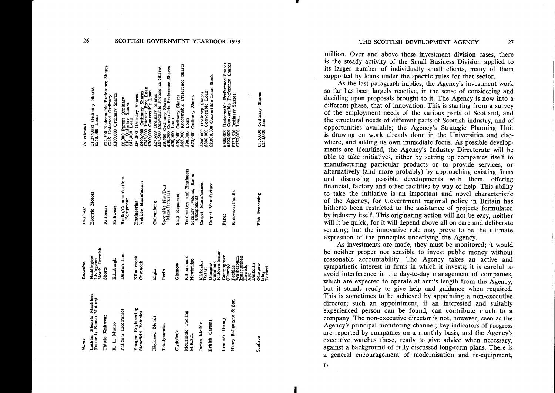| Name                                                 | Location                                                            | Business                              | Investment                                                                                                      |
|------------------------------------------------------|---------------------------------------------------------------------|---------------------------------------|-----------------------------------------------------------------------------------------------------------------|
| Lothian Electric Machines<br>(formerly Ranco Motors) | North Berwick<br>Haddington<br>Livingston                           | Electric Motors                       | £1,275,000 Ordinary Shares<br>£250,000 Loan                                                                     |
| Thistle Knitwear                                     | <b>Shotts</b>                                                       | Knitwear                              | £24,500 Redeemable Preference Shares<br>£245 Deferred Ordinary                                                  |
| R. L. Munro                                          | Edinburgh                                                           | Knitwear                              | £100,000 Ordinary Shares                                                                                        |
| Philcom Electronics                                  | Dunfermline                                                         | Radio/Communications<br>Equipment     | £6,000 Parent Ordinary<br>£10 Ordinary Shares<br>£42,000 Loan                                                   |
| Prosper Engineering<br>Stonefield Vehicles           | Klimarnock<br>Cumnock                                               | Vehicle Manufacture<br>Engineering    | £490,000 Ordinary Shares<br>£245,000 Interest Free Loan<br>£300,000 Convertible Loan<br>£60,000 Ordinary Shares |
| <b>Highland Metals</b>                               | Elgin                                                               | Galvanising                           | £27,499 Ordinary Shares<br>£67,500 Convertible Preference Shares                                                |
| Triadynamics                                         | Perth                                                               | Specialist Nut/Bolt<br>Manufacturers  | £9,500 Ordinary Share<br>£40,500 Convertible Preference Shares<br>£50,000 Loan                                  |
| Clydedock                                            | Glasgow                                                             | Ship Repairers                        | £35,000 Ordinary Shares<br>£65,000 Redeemable Preference Shares                                                 |
| McCrindle Tooling                                    | Kilmarnock                                                          | Toolmakers and Engineers              | £90,000 Loan                                                                                                    |
| M.E.S.L.                                             | Newbridge                                                           | Security Systems, Radar<br>Components | 75,000 Ordinary Shares                                                                                          |
| James Meikle                                         | Kirkcaldy<br>Dysart                                                 | Carpet Manufacture                    | £200,000 Ordinary Shares<br>£300,000 Convertible Loan                                                           |
| <b>British Carpets</b>                               | Kidderminster<br>Cumnock<br>Glasgow                                 | Carpet Manufacture                    | £2,000,000 Convertible Loan Stock                                                                               |
| Inveresk Group                                       | Carrongrove<br>(Denny)                                              | Paper                                 | £500,000 Redeemable Preference Shares<br>£500,000 Convertible Preference Shares                                 |
| Henry Ballantyne & Son                               | Innerleithen<br>Walkerburn<br>Dalkeith<br>Hawick<br>Peebles<br>Ayr. | Knitwear/Textile                      | £750,510 Ordinary Shares<br>£750,000 Loan                                                                       |
| Scofisco                                             | <b>Glasgow</b><br>Islay<br>Tarbert                                  | Fish Processing                       | £575,000 Ordinary Shares<br>£250,000 Loan                                                                       |

27

million. Over and above these investment division cases, there is the steady activity of the Small Business Division applied to its larger number of individually small clients, many of them supported by loans under the specific rules for that sector.

As the last paragraph implies, the Agency's investment work so far has been largely reactive, in the sense of considering and deciding upon proposals brought to it. The Agency is now into a different phase, that of innovation. This is starting from a survey of the employment needs of the various parts of Scotland, and the structural needs of different parts of Scottish industry, and of opportunities available; the Agency's Strategic Planning Unit is drawing on work already done in the Universities and elsewhere, and adding its own immediate focus. As possible developments are identified, the Agency's Industry Directorate will be able to take initiatives, either by setting up companies itself to manufacturing particular products or to provide services, or alternatively (and more probably) by approaching existing firms and discussing possible developments with them, offering financial, factory and other facilities by way of help. This ability to take the initiative is an important and novel characteristic of the Agency, for Government regional policy in Britain has hitherto been restricted to the assistance of projects formulated by industry itself. This originating action will not be easy, neither will it be quick, for it will depend above all on care and deliberate scrutiny; but the innovative role may prove to be the ultimate expression of the principles underlying the Agency.

As investments are made, they must be monitored; it would be neither proper nor sensible to invest public money without reasonable accountability. The Agency takes an active and sympathetic interest in firms in which it invests; it is careful to avoid interference in the day-to-day management of companies, which are expected to operate at arm's length from the Agency, but it stands ready to give help and guidance when required. This is sometimes to be achieved by appointing a non-executive director; such an appointment, if an interested and suitably experienced person can be found, can contribute much to a company. The non-executive director is not, however, seen as the Agency's principal monitoring channel; key indicators of progress are reported by companies on a monthly basis, and the Agency's executive watches these, ready to give advice when necessary, against a background of fully discussed long-term plans. There is a general encouragement of modernisation and re-equipment,

26

SCOTTISH GOVERNMENT YEARBOOK 1978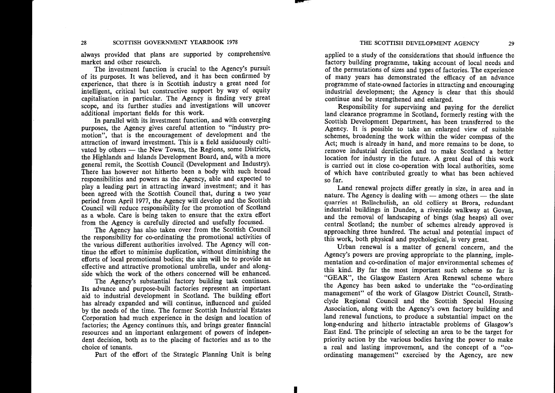always provided that plans are supported by comprehensive, market and other research.

The investment function is crucial to the Agency's pursuit of its purposes. It was believed, and it has been confirmed by experience, that there is in Scottish industry a great need for intelligent, critical but constructive support by way of equity capitalisation in particular. The Agency is finding very great scope, and its further studies and investigations will uncover additional important fields for this work.

In parallel with its investment function, and with converging purposes, the Agency gives careful attention to "industry promotion", that is the encouragement of development and the attraction of inward investment. This is a field assiduously cultivated by others — the New Towns, the Regions, some Districts, the Highlands and Islands Development Board, and, with a more general remit, the Scottish Council (Development and Industry). There has however not hitherto been a body with such broad responsibilities and powers as the Agency, able and expected to play a leading part in attracting inward investment; and it has been agreed with the Scottish Council that, during a two year period from April 1977, the Agency will develop and the Scottish Council will reduce responsibility for the promotion of Scotland as a whole. Care is being taken to ensure that the extra effort from the Agency is carefully directed and usefully focussed.

The Agency has also taken over from the Scottish Council the responsibility for co-ordinating the promotional activities of the various different authorities involved. The Agency will continue the effort to minimise duplication, without diminishing the efforts of local promotional bodies; the aim will be to provide an effective and attractive promotional umbrella, under and alongside which the work of the others concerned will be enhanced.

The Agency's substantial factory building task continues. Its advance and purpose-built factories represent an important aid to industrial development in Scotland. The building effort has already expanded and will continue, influenced and guided by the needs of the time. The former Scottish Industrial Estates Corporation had much experience in the design and location of factories; the Agency continues this, and brings greater financial resources and an important enlargement of powers of independent decision, both as to the placing of factories and as to the choice of tenants.

Part of the effort of the Strategic Planning Unit is being

applied to a study of the considerations that should influence the factory building programme, taking account of local needs and of the permutations of sizes and types of factories. The experience of many years has demonstrated the efficacy of an advance programme of state-owned factories in attracting and encouraging industrial development; the Agency is clear that this should continue and be strengthened and enlarged.

Responsibility for supervising and paying for the derelict land clearance programme in Scotland, formerly resting with the Scottish Development Department, has been transferred to the Agency. It is possible to take an enlarged view of suitable schemes, broadening the work within the wider compass of the Act; much is already in hand, and more remains to be done, to remove industrial dereliction and to make Scotland a better location for industry in the future. A great deal of this work is carried out in close co-operation with local authorities, some of which have contributed greatly to what has been achieved so far.

Land renewal projects differ greatly in size, in area and in nature. The Agency is dealing with  $-$  among others  $-$  the slate quarries at Ballachulish, an old colliery at Brora, redundant industrial buildings in Dundee, a riverside walkway at Govan, and the removal of landscaping of bings (slag heaps) all over central Scotland; the number of schemes already approved is approaching three hundred. The actual and potential impact of this work, both physical and psychological, is very great.

Urban renewal is a matter of general concern, and the Agency's powers are proving appropriate to the planning, implementation and co-ordination of major environmental schemes of this kind. By far the most important such scheme so far is "GEAR", the Glasgow Eastern Area Renewal scheme where the Agency has been asked to undertake the "co-ordinating managemen<sup>t</sup>" of the work of Glasgow District Council, Strathclyde Regional Council and the Scottish Special Housing Association, along with the Agency's own factory building and land renewal functions, to produce a substantial impact on the long-enduring and hitherto intractable problems of Glasgow's East End. The principle of selecting an area to be the target for priority action by the various bodies having the power to make a real and lasting improvement, and the concept of a "coordinating management" exercised by the Agency, are new